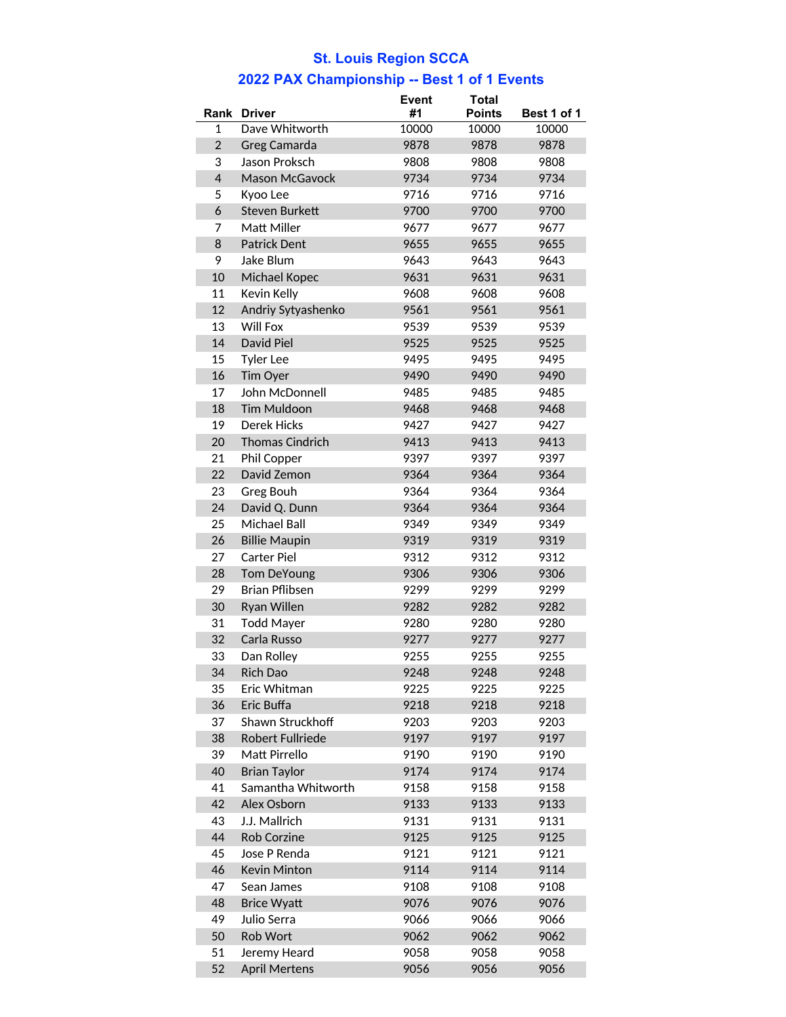## **St. Louis Region SCCA**

## **2022 PAX Championship -- Best 1 of 1 Events**

|                          |                         | <b>Event</b> | <b>Total</b>  |             |  |
|--------------------------|-------------------------|--------------|---------------|-------------|--|
| Rank                     | <b>Driver</b>           | #1           | <b>Points</b> | Best 1 of 1 |  |
| 1                        | Dave Whitworth          | 10000        | 10000         | 10000       |  |
| $\overline{2}$           | Greg Camarda            | 9878         | 9878          | 9878        |  |
| 3                        | Jason Proksch           | 9808         | 9808          | 9808        |  |
| $\overline{\mathcal{L}}$ | <b>Mason McGavock</b>   | 9734         | 9734          | 9734        |  |
| 5                        | Kyoo Lee                | 9716         | 9716          | 9716        |  |
| 6                        | <b>Steven Burkett</b>   | 9700         | 9700          | 9700        |  |
| 7                        | Matt Miller             | 9677         | 9677          | 9677        |  |
| 8                        | <b>Patrick Dent</b>     | 9655         | 9655          | 9655        |  |
| 9                        | Jake Blum               | 9643         | 9643          | 9643        |  |
| 10                       | Michael Kopec           | 9631         | 9631          | 9631        |  |
| 11                       | Kevin Kelly             | 9608         | 9608          | 9608        |  |
| 12                       | Andriy Sytyashenko      | 9561         | 9561          | 9561        |  |
| 13                       | Will Fox                | 9539         | 9539          | 9539        |  |
| 14                       | David Piel              | 9525         | 9525          | 9525        |  |
| 15                       | <b>Tyler Lee</b>        | 9495         | 9495          | 9495        |  |
| 16                       | Tim Oyer                | 9490         | 9490          | 9490        |  |
| 17                       | John McDonnell          | 9485         | 9485          | 9485        |  |
| 18                       | <b>Tim Muldoon</b>      | 9468         | 9468          | 9468        |  |
| 19                       | <b>Derek Hicks</b>      | 9427         | 9427          | 9427        |  |
| 20                       | <b>Thomas Cindrich</b>  | 9413         | 9413          | 9413        |  |
| 21                       | Phil Copper             | 9397         | 9397          | 9397        |  |
| 22                       | David Zemon             | 9364         | 9364          | 9364        |  |
| 23                       | Greg Bouh               | 9364         | 9364          | 9364        |  |
| 24                       | David Q. Dunn           | 9364         | 9364          | 9364        |  |
| 25                       | Michael Ball            | 9349         | 9349          | 9349        |  |
| 26                       | <b>Billie Maupin</b>    | 9319         | 9319          | 9319        |  |
| 27                       | <b>Carter Piel</b>      | 9312         | 9312          | 9312        |  |
| 28                       | <b>Tom DeYoung</b>      | 9306         | 9306          | 9306        |  |
| 29                       | <b>Brian Pflibsen</b>   | 9299         | 9299          | 9299        |  |
| 30                       | Ryan Willen             | 9282         | 9282          | 9282        |  |
| 31                       | <b>Todd Mayer</b>       | 9280         | 9280          | 9280        |  |
| 32                       | Carla Russo             | 9277         |               |             |  |
|                          |                         |              | 9277          | 9277        |  |
| 33                       | Dan Rolley              | 9255         | 9255          | 9255        |  |
| 34                       | Rich Dao                | 9248         | 9248          | 9248        |  |
| 35                       | Eric Whitman            | 9225         | 9225          | 9225        |  |
| 36                       | Eric Buffa              | 9218         | 9218          | 9218        |  |
| 37                       | Shawn Struckhoff        | 9203         | 9203          | 9203        |  |
| 38                       | <b>Robert Fullriede</b> | 9197         | 9197          | 9197        |  |
| 39                       | Matt Pirrello           | 9190         | 9190          | 9190        |  |
| 40                       | <b>Brian Taylor</b>     | 9174         | 9174          | 9174        |  |
| 41                       | Samantha Whitworth      | 9158         | 9158          | 9158        |  |
| 42                       | Alex Osborn             | 9133         | 9133          | 9133        |  |
| 43                       | J.J. Mallrich           | 9131         | 9131          | 9131        |  |
| 44                       | <b>Rob Corzine</b>      | 9125         | 9125          | 9125        |  |
| 45                       | Jose P Renda            | 9121         | 9121          | 9121        |  |
| 46                       | <b>Kevin Minton</b>     | 9114         | 9114          | 9114        |  |
| 47                       | Sean James              | 9108         | 9108          | 9108        |  |
| 48                       | <b>Brice Wyatt</b>      | 9076         | 9076          | 9076        |  |
| 49                       | Julio Serra             | 9066         | 9066          | 9066        |  |
| 50                       | Rob Wort                | 9062         | 9062          | 9062        |  |
| 51                       | Jeremy Heard            | 9058         | 9058          | 9058        |  |
| 52                       | <b>April Mertens</b>    | 9056         | 9056          | 9056        |  |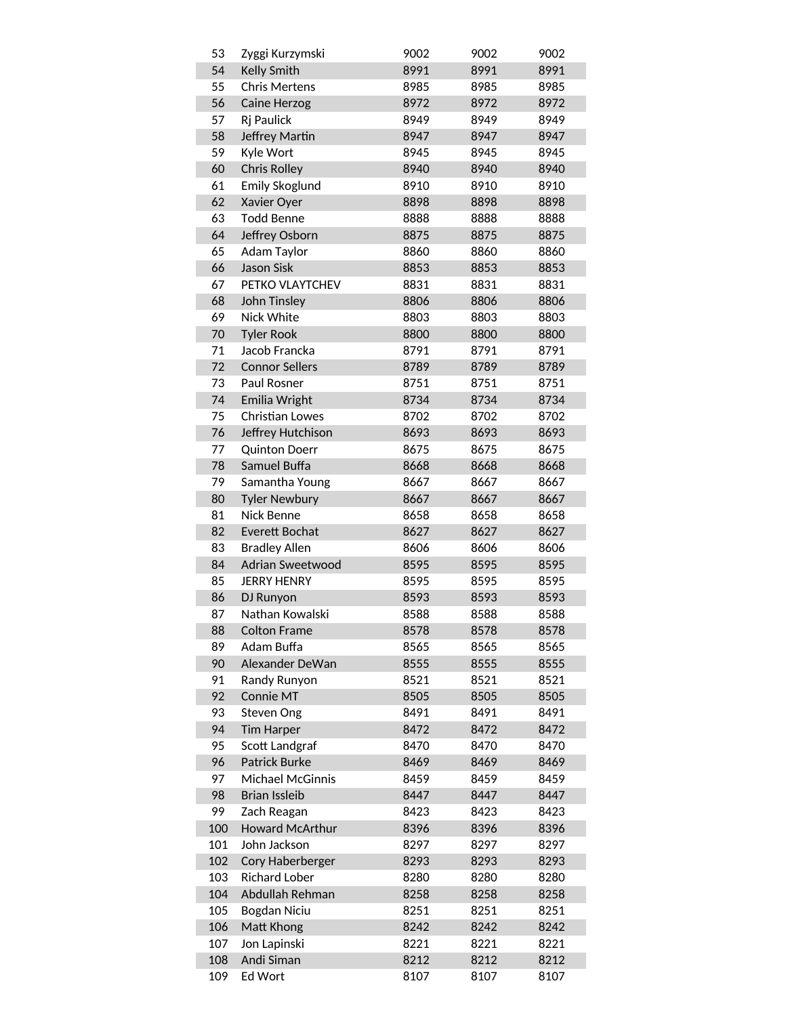| 53  | Zyggi Kurzymski         | 9002 | 9002 | 9002 |
|-----|-------------------------|------|------|------|
| 54  | <b>Kelly Smith</b>      | 8991 | 8991 | 8991 |
| 55  | <b>Chris Mertens</b>    | 8985 | 8985 | 8985 |
| 56  | Caine Herzog            | 8972 | 8972 | 8972 |
| 57  | Rj Paulick              | 8949 | 8949 | 8949 |
| 58  | Jeffrey Martin          | 8947 | 8947 | 8947 |
| 59  | Kyle Wort               | 8945 | 8945 | 8945 |
| 60  | <b>Chris Rolley</b>     | 8940 | 8940 | 8940 |
| 61  | <b>Emily Skoglund</b>   | 8910 | 8910 | 8910 |
| 62  | Xavier Oyer             | 8898 | 8898 | 8898 |
| 63  | <b>Todd Benne</b>       | 8888 | 8888 | 8888 |
| 64  | Jeffrey Osborn          | 8875 | 8875 | 8875 |
| 65  | Adam Taylor             | 8860 | 8860 | 8860 |
| 66  | <b>Jason Sisk</b>       | 8853 | 8853 | 8853 |
| 67  | PETKO VLAYTCHEV         | 8831 | 8831 | 8831 |
| 68  | John Tinsley            | 8806 | 8806 | 8806 |
| 69  | Nick White              | 8803 | 8803 | 8803 |
| 70  | <b>Tyler Rook</b>       | 8800 | 8800 | 8800 |
| 71  | Jacob Francka           | 8791 | 8791 | 8791 |
| 72  | <b>Connor Sellers</b>   | 8789 | 8789 | 8789 |
| 73  | Paul Rosner             | 8751 | 8751 | 8751 |
| 74  | Emilia Wright           | 8734 | 8734 | 8734 |
| 75  | <b>Christian Lowes</b>  | 8702 | 8702 | 8702 |
| 76  | Jeffrey Hutchison       | 8693 | 8693 | 8693 |
| 77  | <b>Quinton Doerr</b>    | 8675 | 8675 | 8675 |
| 78  | Samuel Buffa            | 8668 | 8668 | 8668 |
| 79  | Samantha Young          | 8667 | 8667 | 8667 |
| 80  | <b>Tyler Newbury</b>    | 8667 | 8667 | 8667 |
| 81  | Nick Benne              | 8658 | 8658 | 8658 |
| 82  | <b>Everett Bochat</b>   | 8627 | 8627 | 8627 |
| 83  | <b>Bradley Allen</b>    | 8606 | 8606 | 8606 |
| 84  | <b>Adrian Sweetwood</b> | 8595 | 8595 | 8595 |
| 85  | <b>JERRY HENRY</b>      | 8595 | 8595 | 8595 |
| 86  | DJ Runyon               | 8593 | 8593 | 8593 |
| 87  | Nathan Kowalski         | 8588 | 8588 | 8588 |
| 88  | <b>Colton Frame</b>     | 8578 | 8578 | 8578 |
| 89  | Adam Buffa              | 8565 | 8565 | 8565 |
| 90  | Alexander DeWan         | 8555 | 8555 | 8555 |
| 91  | Randy Runyon            | 8521 | 8521 | 8521 |
| 92  | Connie MT               | 8505 | 8505 | 8505 |
| 93  | Steven Ong              | 8491 | 8491 | 8491 |
| 94  | <b>Tim Harper</b>       | 8472 | 8472 | 8472 |
| 95  | Scott Landgraf          | 8470 | 8470 | 8470 |
| 96  | <b>Patrick Burke</b>    | 8469 | 8469 | 8469 |
| 97  | <b>Michael McGinnis</b> | 8459 | 8459 | 8459 |
| 98  | <b>Brian Issleib</b>    | 8447 | 8447 | 8447 |
| 99  | Zach Reagan             | 8423 | 8423 | 8423 |
| 100 | Howard McArthur         | 8396 | 8396 | 8396 |
| 101 | John Jackson            | 8297 | 8297 | 8297 |
| 102 | Cory Haberberger        | 8293 | 8293 | 8293 |
| 103 | <b>Richard Lober</b>    | 8280 | 8280 | 8280 |
| 104 | Abdullah Rehman         | 8258 | 8258 | 8258 |
| 105 | Bogdan Niciu            | 8251 | 8251 | 8251 |
| 106 | Matt Khong              | 8242 | 8242 | 8242 |
| 107 | Jon Lapinski            | 8221 | 8221 | 8221 |
| 108 | Andi Siman              | 8212 | 8212 | 8212 |
| 109 | Ed Wort                 | 8107 | 8107 | 8107 |